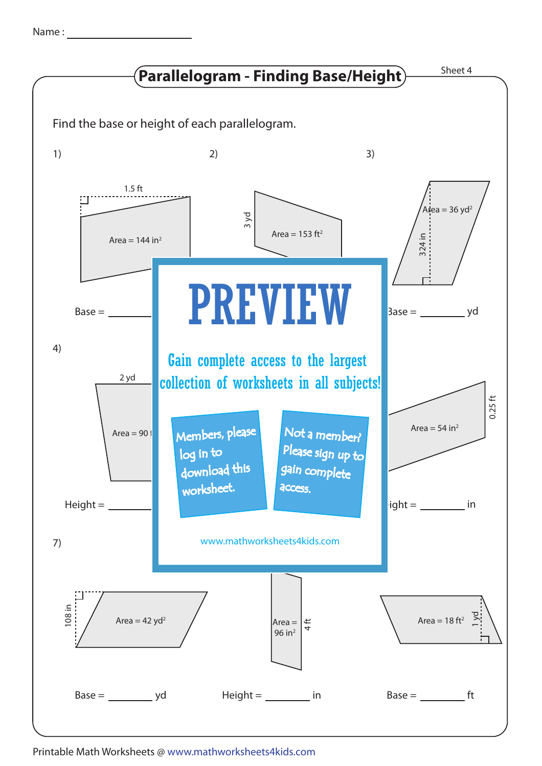| Name |  |
|------|--|
|      |  |



Printable Math Worksheets @ www.mathworksheets4kids.com